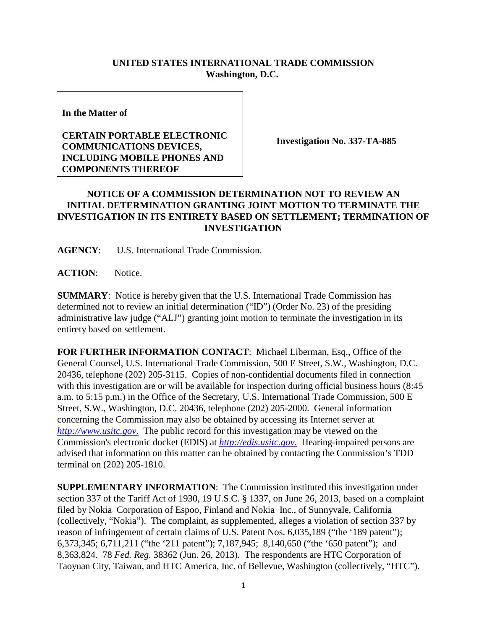## **UNITED STATES INTERNATIONAL TRADE COMMISSION Washington, D.C.**

**In the Matter of**

## **CERTAIN PORTABLE ELECTRONIC COMMUNICATIONS DEVICES, INCLUDING MOBILE PHONES AND COMPONENTS THEREOF**

**Investigation No. 337-TA-885**

## **NOTICE OF A COMMISSION DETERMINATION NOT TO REVIEW AN INITIAL DETERMINATION GRANTING JOINT MOTION TO TERMINATE THE INVESTIGATION IN ITS ENTIRETY BASED ON SETTLEMENT; TERMINATION OF INVESTIGATION**

**AGENCY**: U.S. International Trade Commission.

**ACTION**: Notice.

**SUMMARY**: Notice is hereby given that the U.S. International Trade Commission has determined not to review an initial determination ("ID") (Order No. 23) of the presiding administrative law judge ("ALJ") granting joint motion to terminate the investigation in its entirety based on settlement.

**FOR FURTHER INFORMATION CONTACT**: Michael Liberman, Esq., Office of the General Counsel, U.S. International Trade Commission, 500 E Street, S.W., Washington, D.C. 20436, telephone (202) 205-3115. Copies of non-confidential documents filed in connection with this investigation are or will be available for inspection during official business hours (8:45) a.m. to 5:15 p.m.) in the Office of the Secretary, U.S. International Trade Commission, 500 E Street, S.W., Washington, D.C. 20436, telephone (202) 205-2000. General information concerning the Commission may also be obtained by accessing its Internet server at *[http://www.usitc.gov](http://www.usitc.gov./)*. The public record for this investigation may be viewed on the Commission's electronic docket (EDIS) at *[http://edis.usitc.gov](http://edis.usitc.gov./)*. Hearing-impaired persons are advised that information on this matter can be obtained by contacting the Commission's TDD terminal on (202) 205-1810.

**SUPPLEMENTARY INFORMATION**: The Commission instituted this investigation under section 337 of the Tariff Act of 1930, 19 U.S.C. § 1337, on June 26, 2013, based on a complaint filed by Nokia Corporation of Espoo, Finland and Nokia Inc., of Sunnyvale, California (collectively, "Nokia"). The complaint, as supplemented, alleges a violation of section 337 by reason of infringement of certain claims of U.S. Patent Nos. 6,035,189 ("the '189 patent"); 6,373,345; 6,711,211 ("the '211 patent"); 7,187,945; 8,140,650 ("the '650 patent"); and 8,363,824. 78 *Fed. Reg.* 38362 (Jun. 26, 2013). The respondents are HTC Corporation of Taoyuan City, Taiwan, and HTC America, Inc. of Bellevue, Washington (collectively, "HTC").